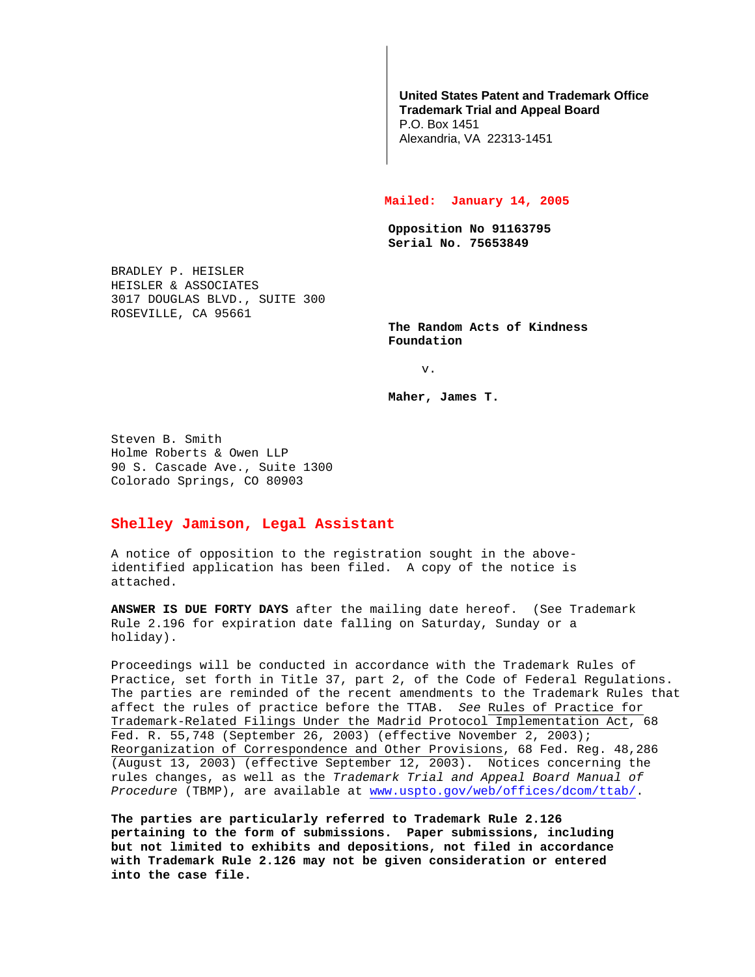## **United States Patent and Trademark Office Trademark Trial and Appeal Board**

P.O. Box 1451 Alexandria, VA 22313-1451

## **Mailed: January 14, 2005**

**Opposition No 91163795 Serial No. 75653849**

BRADLEY P. HEISLER HEISLER & ASSOCIATES 3017 DOUGLAS BLVD., SUITE 300 ROSEVILLE, CA 95661

**The Random Acts of Kindness Foundation**

v.

**Maher, James T.**

Steven B. Smith Holme Roberts & Owen LLP 90 S. Cascade Ave., Suite 1300 Colorado Springs, CO 80903

## **Shelley Jamison, Legal Assistant**

A notice of opposition to the registration sought in the aboveidentified application has been filed. A copy of the notice is attached.

**ANSWER IS DUE FORTY DAYS** after the mailing date hereof. (See Trademark Rule 2.196 for expiration date falling on Saturday, Sunday or a holiday).

Proceedings will be conducted in accordance with the Trademark Rules of Practice, set forth in Title 37, part 2, of the Code of Federal Regulations. The parties are reminded of the recent amendments to the Trademark Rules that affect the rules of practice before the TTAB. See Rules of Practice for Trademark-Related Filings Under the Madrid Protocol Implementation Act, 68 Fed. R. 55,748 (September 26, 2003) (effective November 2, 2003); Reorganization of Correspondence and Other Provisions, 68 Fed. Reg. 48,286 (August 13, 2003) (effective September 12, 2003). Notices concerning the rules changes, as well as the Trademark Trial and Appeal Board Manual of Procedure (TBMP), are available at www.uspto.gov/web/offices/dcom/ttab/.

**The parties are particularly referred to Trademark Rule 2.126 pertaining to the form of submissions. Paper submissions, including but not limited to exhibits and depositions, not filed in accordance with Trademark Rule 2.126 may not be given consideration or entered into the case file.**